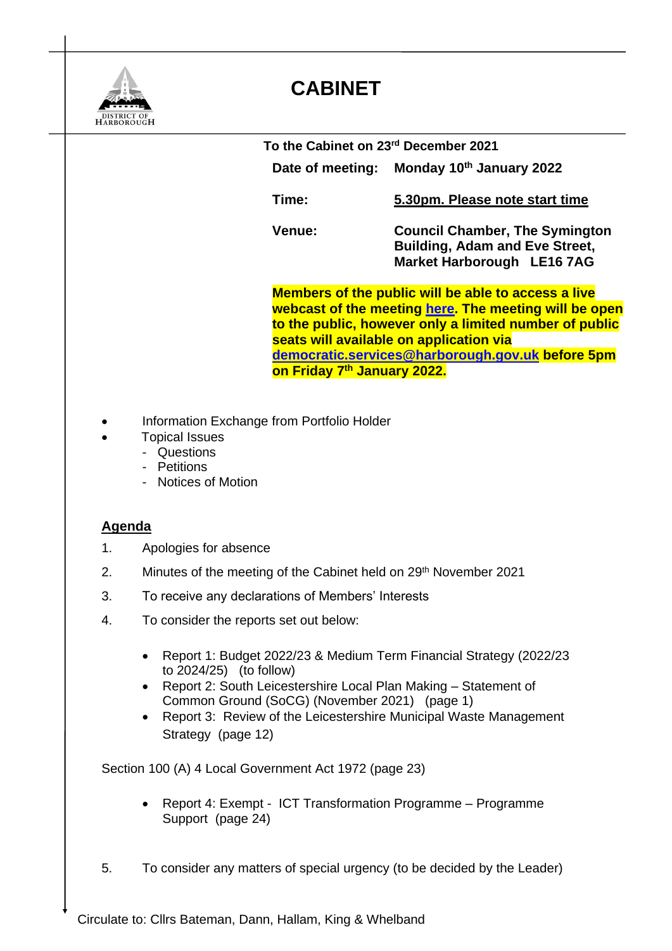

## **CABINET**

 **To the Cabinet on 23rd December 2021 Date of meeting: Monday 10th January 2022 Time: 5.30pm. Please note start time Venue: Council Chamber, The Symington Building, Adam and Eve Street, Market Harborough LE16 7AG Members of the public will be able to access a live webcast of the meeting [here.](https://cmis.harborough.gov.uk/cmis5/Meetings/tabid/73/ctl/ViewMeetingPublic/mid/410/Meeting/5613/Committee/807/SelectedTab/Documents/Default.aspx) The meeting will be open to the public, however only a limited number of public seats will available on application via [democratic.services@harborough.gov.uk](mailto:democratic.services@harborough.gov.uk) before 5pm on Friday 7 th January 2022.**

- Information Exchange from Portfolio Holder
- Topical Issues
	- Questions
	- Petitions
	- Notices of Motion

## **Agenda**

- 1. Apologies for absence
- 2. Minutes of the meeting of the Cabinet held on 29<sup>th</sup> November 2021
- 3. To receive any declarations of Members' Interests
- 4. To consider the reports set out below:
	- Report 1: Budget 2022/23 & Medium Term Financial Strategy (2022/23 to 2024/25) (to follow)
	- Report 2: South Leicestershire Local Plan Making Statement of Common Ground (SoCG) (November 2021) (page 1)
	- Report 3: Review of the Leicestershire Municipal Waste Management Strategy (page 12)

Section 100 (A) 4 Local Government Act 1972 (page 23)

- Report 4: Exempt ICT Transformation Programme Programme Support (page 24)
- 5. To consider any matters of special urgency (to be decided by the Leader)